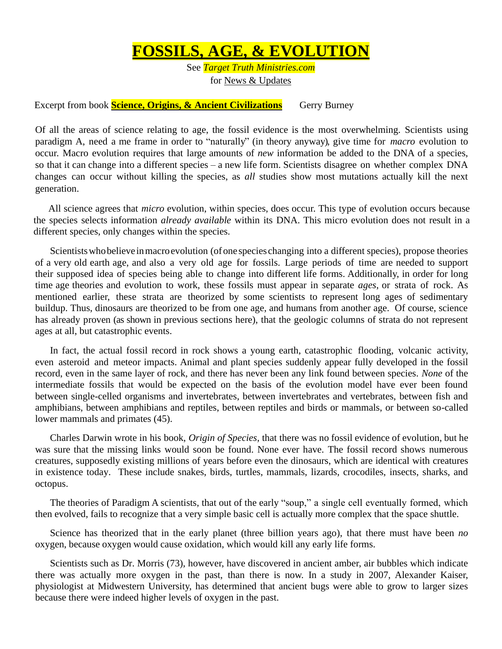**FOSSILS, AGE, & EVOLUTION**

See *Target Truth Ministries.com* for News & Updates

Excerpt from book **Science, Origins, & Ancient Civilizations** Gerry Burney

Of all the areas of science relating to age, the fossil evidence is the most overwhelming. Scientists using paradigm A, need a me frame in order to "naturally" (in theory anyway), give time for *macro* evolution to occur. Macro evolution requires that large amounts of *new* information be added to the DNA of a species, so that it can change into a different species – a new life form. Scientists disagree on whether complex DNA changes can occur without killing the species, as *all* studies show most mutations actually kill the next generation.

All science agrees that *micro* evolution, within species, does occur. This type of evolution occurs because the species selects information *already available* within its DNA. This micro evolution does not result in a different species, only changes within the species.

Scientists who believe in macroevolution (of one species changing into a different species), propose theories of a very old earth age, and also a very old age for fossils. Large periods of time are needed to support their supposed idea of species being able to change into different life forms. Additionally, in order for long time age theories and evolution to work, these fossils must appear in separate *ages*, or strata of rock. As mentioned earlier, these strata are theorized by some scientists to represent long ages of sedimentary buildup. Thus, dinosaurs are theorized to be from one age, and humans from another age. Of course, science has already proven (as shown in previous sections here), that the geologic columns of strata do not represent ages at all, but catastrophic events.

In fact, the actual fossil record in rock shows a young earth, catastrophic flooding, volcanic activity, even asteroid and meteor impacts. Animal and plant species suddenly appear fully developed in the fossil record, even in the same layer of rock, and there has never been any link found between species. *None* of the intermediate fossils that would be expected on the basis of the evolution model have ever been found between single-celled organisms and invertebrates, between invertebrates and vertebrates, between fish and amphibians, between amphibians and reptiles, between reptiles and birds or mammals, or between so-called lower mammals and primates (45).

Charles Darwin wrote in his book, *Origin of Species,* that there was no fossil evidence of evolution, but he was sure that the missing links would soon be found. None ever have. The fossil record shows numerous creatures, supposedly existing millions of years before even the dinosaurs, which are identical with creatures in existence today. These include snakes, birds, turtles, mammals, lizards, crocodiles, insects, sharks, and octopus.

The theories of Paradigm A scientists, that out of the early "soup," a single cell eventually formed, which then evolved, fails to recognize that a very simple basic cell is actually more complex that the space shuttle.

Science has theorized that in the early planet (three billion years ago), that there must have been *no* oxygen, because oxygen would cause oxidation, which would kill any early life forms.

Scientists such as Dr. Morris (73), however, have discovered in ancient amber, air bubbles which indicate there was actually more oxygen in the past, than there is now. In a study in 2007, Alexander Kaiser, physiologist at Midwestern University, has determined that ancient bugs were able to grow to larger sizes because there were indeed higher levels of oxygen in the past.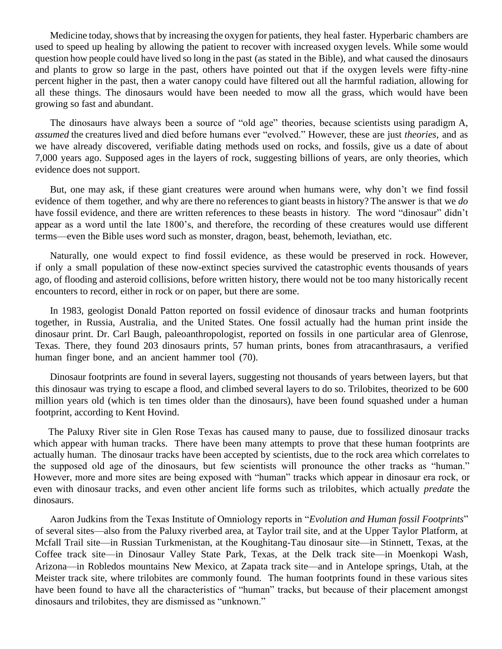Medicine today, shows that by increasing the oxygen for patients, they heal faster. Hyperbaric chambers are used to speed up healing by allowing the patient to recover with increased oxygen levels. While some would question how people could have lived so long in the past (as stated in the Bible), and what caused the dinosaurs and plants to grow so large in the past, others have pointed out that if the oxygen levels were fifty-nine percent higher in the past, then a water canopy could have filtered out all the harmful radiation, allowing for all these things. The dinosaurs would have been needed to mow all the grass, which would have been growing so fast and abundant.

The dinosaurs have always been a source of "old age" theories, because scientists using paradigm A, *assumed* the creatures lived and died before humans ever "evolved." However, these are just *theories,* and as we have already discovered, verifiable dating methods used on rocks, and fossils, give us a date of about 7,000 years ago. Supposed ages in the layers of rock, suggesting billions of years, are only theories, which evidence does not support.

But, one may ask, if these giant creatures were around when humans were, why don't we find fossil evidence of them together, and why are there no references to giant beasts in history? The answer is that we *do* have fossil evidence, and there are written references to these beasts in history. The word "dinosaur" didn't appear as a word until the late 1800's, and therefore, the recording of these creatures would use different terms—even the Bible uses word such as monster, dragon, beast, behemoth, leviathan, etc.

Naturally, one would expect to find fossil evidence, as these would be preserved in rock. However, if only a small population of these now-extinct species survived the catastrophic events thousands of years ago, of flooding and asteroid collisions, before written history, there would not be too many historically recent encounters to record, either in rock or on paper, but there are some.

In 1983, geologist Donald Patton reported on fossil evidence of dinosaur tracks and human footprints together, in Russia, Australia, and the United States. One fossil actually had the human print inside the dinosaur print. Dr. Carl Baugh, paleoanthropologist, reported on fossils in one particular area of Glenrose, Texas. There, they found 203 dinosaurs prints, 57 human prints, bones from atracanthrasaurs, a verified human finger bone, and an ancient hammer tool (70).

Dinosaur footprints are found in several layers, suggesting not thousands of years between layers, but that this dinosaur was trying to escape a flood, and climbed several layers to do so. Trilobites, theorized to be 600 million years old (which is ten times older than the dinosaurs), have been found squashed under a human footprint, according to Kent Hovind.

The Paluxy River site in Glen Rose Texas has caused many to pause, due to fossilized dinosaur tracks which appear with human tracks. There have been many attempts to prove that these human footprints are actually human. The dinosaur tracks have been accepted by scientists, due to the rock area which correlates to the supposed old age of the dinosaurs, but few scientists will pronounce the other tracks as "human." However, more and more sites are being exposed with "human" tracks which appear in dinosaur era rock, or even with dinosaur tracks, and even other ancient life forms such as trilobites, which actually *predate* the dinosaurs.

Aaron Judkins from the Texas Institute of Omniology reports in "*Evolution and Human fossil Footprints*" of several sites—also from the Paluxy riverbed area, at Taylor trail site, and at the Upper Taylor Platform, at Mcfall Trail site—in Russian Turkmenistan, at the Koughitang-Tau dinosaur site—in Stinnett, Texas, at the Coffee track site—in Dinosaur Valley State Park, Texas, at the Delk track site—in Moenkopi Wash, Arizona—in Robledos mountains New Mexico, at Zapata track site—and in Antelope springs, Utah, at the Meister track site, where trilobites are commonly found. The human footprints found in these various sites have been found to have all the characteristics of "human" tracks, but because of their placement amongst dinosaurs and trilobites, they are dismissed as "unknown."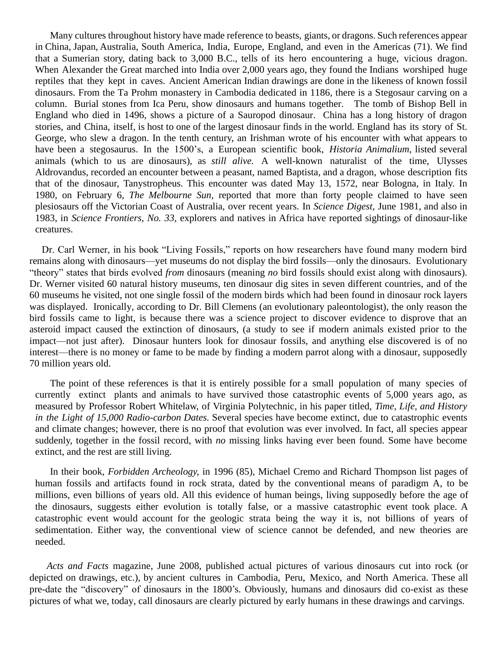Many cultures throughout history have made reference to beasts, giants, or dragons. Such references appear in China, Japan, Australia, South America, India, Europe, England, and even in the Americas (71). We find that a Sumerian story, dating back to 3,000 B.C., tells of its hero encountering a huge, vicious dragon. When Alexander the Great marched into India over 2,000 years ago, they found the Indians worshiped huge reptiles that they kept in caves. Ancient American Indian drawings are done in the likeness of known fossil dinosaurs. From the Ta Prohm monastery in Cambodia dedicated in 1186, there is a Stegosaur carving on a column. Burial stones from Ica Peru, show dinosaurs and humans together. The tomb of Bishop Bell in England who died in 1496, shows a picture of a Sauropod dinosaur. China has a long history of dragon stories, and China, itself, is host to one of the largest dinosaur finds in the world. England has its story of St. George, who slew a dragon. In the tenth century, an Irishman wrote of his encounter with what appears to have been a stegosaurus. In the 1500's, a European scientific book, *Historia Animalium,* listed several animals (which to us are dinosaurs), as *still alive.* A well-known naturalist of the time, Ulysses Aldrovandus, recorded an encounter between a peasant, named Baptista, and a dragon, whose description fits that of the dinosaur, Tanystropheus. This encounter was dated May 13, 1572, near Bologna, in Italy. In 1980, on February 6, *The Melbourne Sun,* reported that more than forty people claimed to have seen plesiosaurs off the Victorian Coast of Australia, over recent years. In *Science Digest,* June 1981, and also in 1983, in *Science Frontiers, No. 33,* explorers and natives in Africa have reported sightings of dinosaur-like creatures.

 Dr. Carl Werner, in his book "Living Fossils," reports on how researchers have found many modern bird remains along with dinosaurs—yet museums do not display the bird fossils—only the dinosaurs. Evolutionary "theory" states that birds evolved *from* dinosaurs (meaning *no* bird fossils should exist along with dinosaurs). Dr. Werner visited 60 natural history museums, ten dinosaur dig sites in seven different countries, and of the 60 museums he visited, not one single fossil of the modern birds which had been found in dinosaur rock layers was displayed. Ironically, according to Dr. Bill Clemens (an evolutionary paleontologist), the only reason the bird fossils came to light, is because there was a science project to discover evidence to disprove that an asteroid impact caused the extinction of dinosaurs, (a study to see if modern animals existed prior to the impact—not just after). Dinosaur hunters look for dinosaur fossils, and anything else discovered is of no interest—there is no money or fame to be made by finding a modern parrot along with a dinosaur, supposedly 70 million years old.

The point of these references is that it is entirely possible for a small population of many species of currently extinct plants and animals to have survived those catastrophic events of 5,000 years ago, as measured by Professor Robert Whitelaw, of Virginia Polytechnic, in his paper titled, *Time, Life, and History in the Light of 15,000 Radio-carbon Dates.* Several species have become extinct, due to catastrophic events and climate changes; however, there is no proof that evolution was ever involved. In fact, all species appear suddenly, together in the fossil record, with *no* missing links having ever been found. Some have become extinct, and the rest are still living.

 In their book, *Forbidden Archeology,* in 1996 (85), Michael Cremo and Richard Thompson list pages of human fossils and artifacts found in rock strata, dated by the conventional means of paradigm A, to be millions, even billions of years old. All this evidence of human beings, living supposedly before the age of the dinosaurs, suggests either evolution is totally false, or a massive catastrophic event took place. A catastrophic event would account for the geologic strata being the way it is, not billions of years of sedimentation. Either way, the conventional view of science cannot be defended, and new theories are needed.

 *Acts and Facts* magazine, June 2008, published actual pictures of various dinosaurs cut into rock (or depicted on drawings, etc.), by ancient cultures in Cambodia, Peru, Mexico, and North America. These all pre-date the "discovery" of dinosaurs in the 1800's. Obviously, humans and dinosaurs did co-exist as these pictures of what we, today, call dinosaurs are clearly pictured by early humans in these drawings and carvings.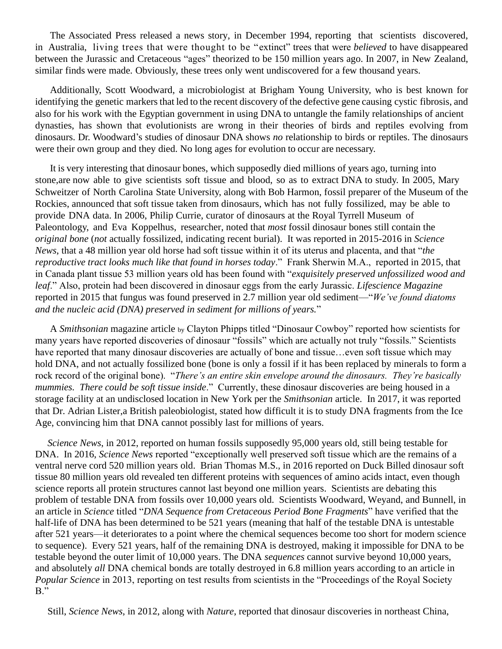The Associated Press released a news story, in December 1994, reporting that scientists discovered, in Australia, living trees that were thought to be "extinct" trees that were *believed* to have disappeared between the Jurassic and Cretaceous "ages" theorized to be 150 million years ago. In 2007, in New Zealand, similar finds were made. Obviously, these trees only went undiscovered for a few thousand years.

Additionally, Scott Woodward, a microbiologist at Brigham Young University, who is best known for identifying the genetic markers that led to the recent discovery of the defective gene causing cystic fibrosis, and also for his work with the Egyptian government in using DNA to untangle the family relationships of ancient dynasties, has shown that evolutionists are wrong in their theories of birds and reptiles evolving from dinosaurs. Dr. Woodward's studies of dinosaur DNA shows *no* relationship to birds or reptiles. The dinosaurs were their own group and they died. No long ages for evolution to occur are necessary.

It is very interesting that dinosaur bones, which supposedly died millions of years ago, turning into stone,are now able to give scientists soft tissue and blood, so as to extract DNA to study. In 2005, Mary Schweitzer of North Carolina State University, along with Bob Harmon, fossil preparer of the Museum of the Rockies, announced that soft tissue taken from dinosaurs, which has not fully fossilized, may be able to provide DNA data. In 2006, Philip Currie, curator of dinosaurs at the Royal Tyrrell Museum of Paleontology, and Eva Koppelhus, researcher, noted that *most* fossil dinosaur bones still contain the *original bone* (*not* actually fossilized, indicating recent burial). It was reported in 2015-2016 in *Science News*, that a 48 million year old horse had soft tissue within it of its uterus and placenta, and that "*the reproductive tract looks much like that found in horses today*." Frank Sherwin M.A., reported in 2015, that in Canada plant tissue 53 million years old has been found with "*exquisitely preserved unfossilized wood and leaf*." Also, protein had been discovered in dinosaur eggs from the early Jurassic. *Lifescience Magazine* reported in 2015 that fungus was found preserved in 2.7 million year old sediment—"*We've found diatoms and the nucleic acid (DNA) preserved in sediment for millions of years.*"

A *Smithsonian* magazine article by Clayton Phipps titled "Dinosaur Cowboy" reported how scientists for many years have reported discoveries of dinosaur "fossils" which are actually not truly "fossils." Scientists have reported that many dinosaur discoveries are actually of bone and tissue...even soft tissue which may hold DNA, and not actually fossilized bone (bone is only a fossil if it has been replaced by minerals to form a rock record of the original bone). "*There's an entire skin envelope around the dinosaurs. They're basically mummies. There could be soft tissue inside*." Currently, these dinosaur discoveries are being housed in a storage facility at an undisclosed location in New York per the *Smithsonian* article. In 2017, it was reported that Dr. Adrian Lister,a British paleobiologist, stated how difficult it is to study DNA fragments from the Ice Age, convincing him that DNA cannot possibly last for millions of years.

 *Science News*, in 2012, reported on human fossils supposedly 95,000 years old, still being testable for DNA. In 2016, *Science News* reported "exceptionally well preserved soft tissue which are the remains of a ventral nerve cord 520 million years old. Brian Thomas M.S., in 2016 reported on Duck Billed dinosaur soft tissue 80 million years old revealed ten different proteins with sequences of amino acids intact, even though science reports all protein structures cannot last beyond one million years. Scientists are debating this problem of testable DNA from fossils over 10,000 years old. Scientists Woodward, Weyand, and Bunnell, in an article in *Science* titled "*DNA Sequence from Cretaceous Period Bone Fragments*" have verified that the half-life of DNA has been determined to be 521 years (meaning that half of the testable DNA is untestable after 521 years—it deteriorates to a point where the chemical sequences become too short for modern science to sequence). Every 521 years, half of the remaining DNA is destroyed, making it impossible for DNA to be testable beyond the outer limit of 10,000 years. The DNA *sequences* cannot survive beyond 10,000 years, and absolutely *all* DNA chemical bonds are totally destroyed in 6.8 million years according to an article in *Popular Science* in 2013, reporting on test results from scientists in the "Proceedings of the Royal Society B."

Still, *Science News*, in 2012, along with *Nature*, reported that dinosaur discoveries in northeast China,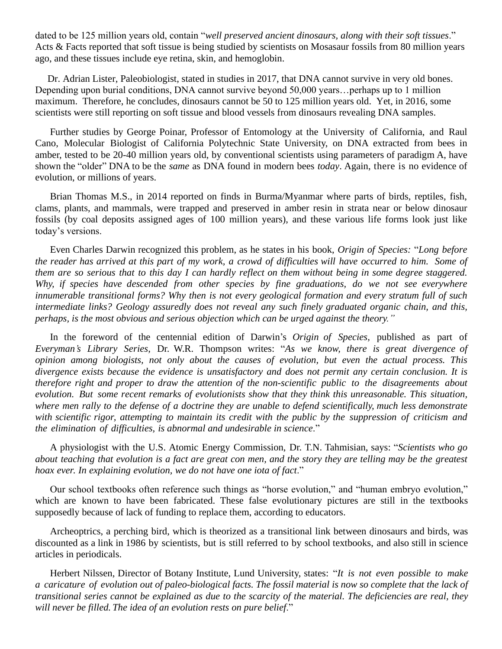dated to be 125 million years old, contain "*well preserved ancient dinosaurs, along with their soft tissues*." Acts & Facts reported that soft tissue is being studied by scientists on Mosasaur fossils from 80 million years ago, and these tissues include eye retina, skin, and hemoglobin.

 Dr. Adrian Lister, Paleobiologist, stated in studies in 2017, that DNA cannot survive in very old bones. Depending upon burial conditions, DNA cannot survive beyond 50,000 years…perhaps up to 1 million maximum. Therefore, he concludes, dinosaurs cannot be 50 to 125 million years old. Yet, in 2016, some scientists were still reporting on soft tissue and blood vessels from dinosaurs revealing DNA samples.

Further studies by George Poinar, Professor of Entomology at the University of California, and Raul Cano, Molecular Biologist of California Polytechnic State University, on DNA extracted from bees in amber, tested to be 20-40 million years old, by conventional scientists using parameters of paradigm A, have shown the "older" DNA to be the *same* as DNA found in modern bees *today*. Again, there is no evidence of evolution, or millions of years.

Brian Thomas M.S., in 2014 reported on finds in Burma/Myanmar where parts of birds, reptiles, fish, clams, plants, and mammals, were trapped and preserved in amber resin in strata near or below dinosaur fossils (by coal deposits assigned ages of 100 million years), and these various life forms look just like today's versions.

Even Charles Darwin recognized this problem, as he states in his book, *Origin of Species:* "*Long before the reader has arrived at this part of my work, a crowd of difficulties will have occurred to him. Some of* them are so serious that to this day I can hardly reflect on them without being in some degree staggered. *Why, if species have descended from other species by fine graduations, do we not see everywhere innumerable transitional forms? Why then is not every geological formation and every stratum full of such intermediate links? Geology assuredly does not reveal any such finely graduated organic chain, and this, perhaps, is the most obvious and serious objection which can be urged against the theory."*

In the foreword of the centennial edition of Darwin's *Origin of Species,* published as part of *Everyman's Library Series,* Dr. W.R. Thompson writes: "*As we know, there is great divergence of opinion among biologists, not only about the causes of evolution, but even the actual process. This divergence exists because the evidence is unsatisfactory and does not permit any certain conclusion. It is therefore right and proper to draw the attention of the non-scientific public to the disagreements about evolution. But some recent remarks of evolutionists show that they think this unreasonable. This situation,* where men rally to the defense of a doctrine they are unable to defend scientifically, much less demonstrate *with scientific rigor, attempting to maintain its credit with the public by the suppression of criticism and the elimination of difficulties, is abnormal and undesirable in science*."

A physiologist with the U.S. Atomic Energy Commission, Dr. T.N. Tahmisian, says: "*Scientists who go* about teaching that evolution is a fact are great con men, and the story they are telling may be the greatest *hoax ever. In explaining evolution, we do not have one iota of fact*."

Our school textbooks often reference such things as "horse evolution," and "human embryo evolution," which are known to have been fabricated. These false evolutionary pictures are still in the textbooks supposedly because of lack of funding to replace them, according to educators.

Archeoptrics, a perching bird, which is theorized as a transitional link between dinosaurs and birds, was discounted as a link in 1986 by scientists, but is still referred to by school textbooks, and also still in science articles in periodicals.

Herbert Nilssen, Director of Botany Institute, Lund University, states: "*It is not even possible to make a caricature of evolution out of paleo-biological facts. The fossil material is now so complete that the lack of transitional series cannot be explained as due to the scarcity of the material. The deficiencies are real, they will never be filled. The idea of an evolution rests on pure belief*."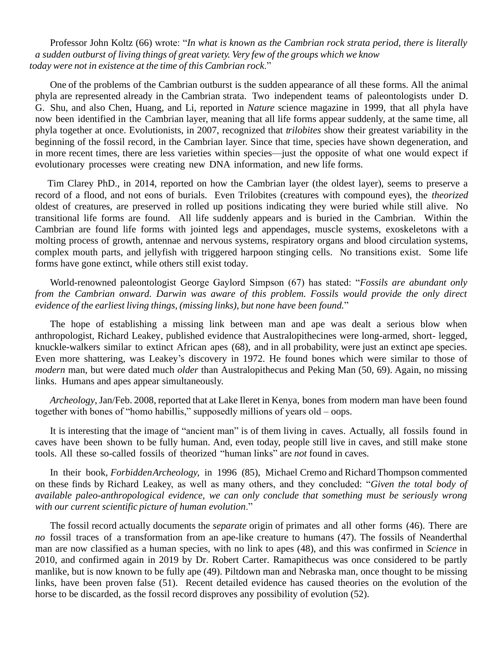Professor John Koltz (66) wrote: "*In what is known as the Cambrian rock strata period, there is literally a sudden outburst of living things of great variety. Very few of the groups which we know today were not in existence at the time of this Cambrian rock*."

 One of the problems of the Cambrian outburst is the sudden appearance of all these forms. All the animal phyla are represented already in the Cambrian strata. Two independent teams of paleontologists under D. G. Shu, and also Chen, Huang, and Li, reported in *Nature* science magazine in 1999, that all phyla have now been identified in the Cambrian layer, meaning that all life forms appear suddenly, at the same time, all phyla together at once. Evolutionists, in 2007, recognized that *trilobites* show their greatest variability in the beginning of the fossil record, in the Cambrian layer. Since that time, species have shown degeneration, and in more recent times, there are less varieties within species—just the opposite of what one would expect if evolutionary processes were creating new DNA information, and new life forms.

 Tim Clarey PhD., in 2014, reported on how the Cambrian layer (the oldest layer), seems to preserve a record of a flood, and not eons of burials. Even Trilobites (creatures with compound eyes), the *theorized* oldest of creatures, are preserved in rolled up positions indicating they were buried while still alive. No transitional life forms are found. All life suddenly appears and is buried in the Cambrian. Within the Cambrian are found life forms with jointed legs and appendages, muscle systems, exoskeletons with a molting process of growth, antennae and nervous systems, respiratory organs and blood circulation systems, complex mouth parts, and jellyfish with triggered harpoon stinging cells. No transitions exist. Some life forms have gone extinct, while others still exist today.

World-renowned paleontologist George Gaylord Simpson (67) has stated: "*Fossils are abundant only from the Cambrian onward. Darwin was aware of this problem. Fossils would provide the only direct evidence of the earliest living things, (missing links), but none have been found.*"

The hope of establishing a missing link between man and ape was dealt a serious blow when anthropologist, Richard Leakey, published evidence that Australopithecines were long-armed, short- legged, knuckle-walkers similar to extinct African apes (68), and in all probability, were just an extinct ape species. Even more shattering, was Leakey's discovery in 1972. He found bones which were similar to those of *modern* man, but were dated much *older* than Australopithecus and Peking Man (50, 69). Again, no missing links. Humans and apes appear simultaneously.

*Archeology*,Jan/Feb. 2008, reported that at Lake Ileret in Kenya, bones from modern man have been found together with bones of "homo habillis," supposedly millions of years old – oops.

It is interesting that the image of "ancient man" is of them living in caves. Actually, all fossils found in caves have been shown to be fully human. And, even today, people still live in caves, and still make stone tools. All these so-called fossils of theorized "human links" are *not* found in caves.

In their book, *ForbiddenArcheology,* in 1996 (85), Michael Cremo and Richard Thompson commented on these finds by Richard Leakey, as well as many others, and they concluded: "*Given the total body of available paleo-anthropological evidence, we can only conclude that something must be seriously wrong with our current scientific picture of human evolution*."

The fossil record actually documents the *separate* origin of primates and all other forms (46). There are *no* fossil traces of a transformation from an ape-like creature to humans (47). The fossils of Neanderthal man are now classified as a human species, with no link to apes (48), and this was confirmed in *Science* in 2010, and confirmed again in 2019 by Dr. Robert Carter. Ramapithecus was once considered to be partly manlike, but is now known to be fully ape (49). Piltdown man and Nebraska man, once thought to be missing links, have been proven false (51). Recent detailed evidence has caused theories on the evolution of the horse to be discarded, as the fossil record disproves any possibility of evolution (52).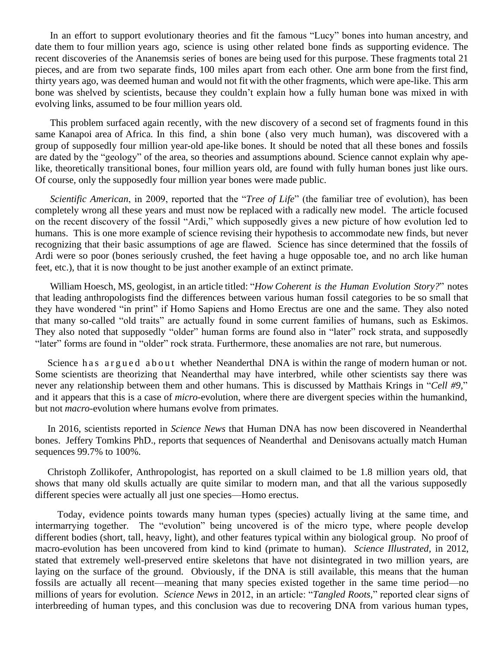In an effort to support evolutionary theories and fit the famous "Lucy" bones into human ancestry, and date them to four million years ago, science is using other related bone finds as supporting evidence. The recent discoveries of the Ananemsis series of bones are being used for this purpose. These fragments total 21 pieces, and are from two separate finds, 100 miles apart from each other. One arm bone from the first find, thirty years ago, was deemed human and would not fit with the other fragments, which were ape-like. This arm bone was shelved by scientists, because they couldn't explain how a fully human bone was mixed in with evolving links, assumed to be four million years old.

This problem surfaced again recently, with the new discovery of a second set of fragments found in this same Kanapoi area of Africa. In this find, a shin bone ( also very much human), was discovered with a group of supposedly four million year-old ape-like bones. It should be noted that all these bones and fossils are dated by the "geology" of the area, so theories and assumptions abound. Science cannot explain why apelike, theoretically transitional bones, four million years old, are found with fully human bones just like ours. Of course, only the supposedly four million year bones were made public.

 *Scientific American*, in 2009, reported that the "*Tree of Life*" (the familiar tree of evolution), has been completely wrong all these years and must now be replaced with a radically new model. The article focused on the recent discovery of the fossil "Ardi," which supposedly gives a new picture of how evolution led to humans. This is one more example of science revising their hypothesis to accommodate new finds, but never recognizing that their basic assumptions of age are flawed. Science has since determined that the fossils of Ardi were so poor (bones seriously crushed, the feet having a huge opposable toe, and no arch like human feet, etc.), that it is now thought to be just another example of an extinct primate.

William Hoesch, MS, geologist, in an article titled: "*How Coherent is the Human Evolution Story?*" notes that leading anthropologists find the differences between various human fossil categories to be so small that they have wondered "in print" if Homo Sapiens and Homo Erectus are one and the same. They also noted that many so-called "old traits" are actually found in some current families of humans, such as Eskimos. They also noted that supposedly "older" human forms are found also in "later" rock strata, and supposedly "later" forms are found in "older" rock strata. Furthermore, these anomalies are not rare, but numerous.

Science h a s a r g u e d a b o u t whether Neanderthal DNA is within the range of modern human or not. Some scientists are theorizing that Neanderthal may have interbred, while other scientists say there was never any relationship between them and other humans. This is discussed by Matthais Krings in "*Cell #9,*" and it appears that this is a case of *micro*-evolution, where there are divergent species within the humankind, but not *macro*-evolution where humans evolve from primates.

 In 2016, scientists reported in *Science News* that Human DNA has now been discovered in Neanderthal bones. Jeffery Tomkins PhD., reports that sequences of Neanderthal and Denisovans actually match Human sequences 99.7% to 100%.

 Christoph Zollikofer, Anthropologist, has reported on a skull claimed to be 1.8 million years old, that shows that many old skulls actually are quite similar to modern man, and that all the various supposedly different species were actually all just one species—Homo erectus.

 Today, evidence points towards many human types (species) actually living at the same time, and intermarrying together. The "evolution" being uncovered is of the micro type, where people develop different bodies (short, tall, heavy, light), and other features typical within any biological group. No proof of macro-evolution has been uncovered from kind to kind (primate to human). *Science Illustrated,* in 2012, stated that extremely well-preserved entire skeletons that have not disintegrated in two million years, are laying on the surface of the ground. Obviously, if the DNA is still available, this means that the human fossils are actually all recent—meaning that many species existed together in the same time period—no millions of years for evolution. *Science News* in 2012, in an article: "*Tangled Roots,*" reported clear signs of interbreeding of human types, and this conclusion was due to recovering DNA from various human types,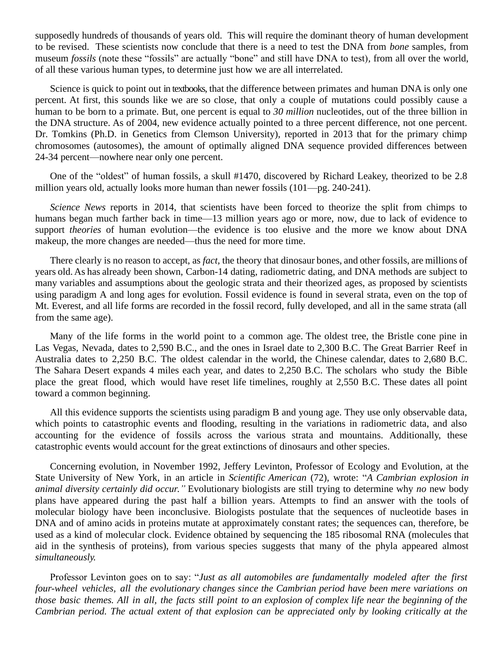supposedly hundreds of thousands of years old. This will require the dominant theory of human development to be revised. These scientists now conclude that there is a need to test the DNA from *bone* samples, from museum *fossils* (note these "fossils" are actually "bone" and still have DNA to test)*,* from all over the world, of all these various human types, to determine just how we are all interrelated.

Science is quick to point out in textbooks, that the difference between primates and human DNA is only one percent. At first, this sounds like we are so close, that only a couple of mutations could possibly cause a human to be born to a primate. But, one percent is equal to *30 million* nucleotides, out of the three billion in the DNA structure. As of 2004, new evidence actually pointed to a three percent difference, not one percent. Dr. Tomkins (Ph.D. in Genetics from Clemson University), reported in 2013 that for the primary chimp chromosomes (autosomes), the amount of optimally aligned DNA sequence provided differences between 24-34 percent—nowhere near only one percent.

One of the "oldest" of human fossils, a skull #1470, discovered by Richard Leakey, theorized to be 2.8 million years old, actually looks more human than newer fossils (101—pg. 240-241).

*Science News* reports in 2014, that scientists have been forced to theorize the split from chimps to humans began much farther back in time—13 million years ago or more, now, due to lack of evidence to support *theories* of human evolution—the evidence is too elusive and the more we know about DNA makeup, the more changes are needed—thus the need for more time.

There clearly is no reason to accept, as *fact,* the theory that dinosaur bones, and other fossils, are millions of years old.As has already been shown, Carbon-14 dating, radiometric dating, and DNA methods are subject to many variables and assumptions about the geologic strata and their theorized ages, as proposed by scientists using paradigm A and long ages for evolution. Fossil evidence is found in several strata, even on the top of Mt. Everest, and all life forms are recorded in the fossil record, fully developed, and all in the same strata (all from the same age).

Many of the life forms in the world point to a common age. The oldest tree, the Bristle cone pine in Las Vegas, Nevada, dates to 2,590 B.C., and the ones in Israel date to 2,300 B.C. The Great Barrier Reef in Australia dates to 2,250 B.C. The oldest calendar in the world, the Chinese calendar, dates to 2,680 B.C. The Sahara Desert expands 4 miles each year, and dates to 2,250 B.C. The scholars who study the Bible place the great flood, which would have reset life timelines, roughly at 2,550 B.C. These dates all point toward a common beginning.

All this evidence supports the scientists using paradigm B and young age. They use only observable data, which points to catastrophic events and flooding, resulting in the variations in radiometric data, and also accounting for the evidence of fossils across the various strata and mountains. Additionally, these catastrophic events would account for the great extinctions of dinosaurs and other species.

Concerning evolution, in November 1992, Jeffery Levinton, Professor of Ecology and Evolution, at the State University of New York, in an article in *Scientific American* (72), wrote: "*A Cambrian explosion in animal diversity certainly did occur."* Evolutionary biologists are still trying to determine why *no* new body plans have appeared during the past half a billion years. Attempts to find an answer with the tools of molecular biology have been inconclusive. Biologists postulate that the sequences of nucleotide bases in DNA and of amino acids in proteins mutate at approximately constant rates; the sequences can, therefore, be used as a kind of molecular clock. Evidence obtained by sequencing the 185 ribosomal RNA (molecules that aid in the synthesis of proteins), from various species suggests that many of the phyla appeared almost *simultaneously.*

Professor Levinton goes on to say: "*Just as all automobiles are fundamentally modeled after the first four-wheel vehicles, all the evolutionary changes since the Cambrian period have been mere variations on those basic themes. All in all, the facts still point to an explosion of complex life near the beginning of the Cambrian period. The actual extent of that explosion can be appreciated only by looking critically at the*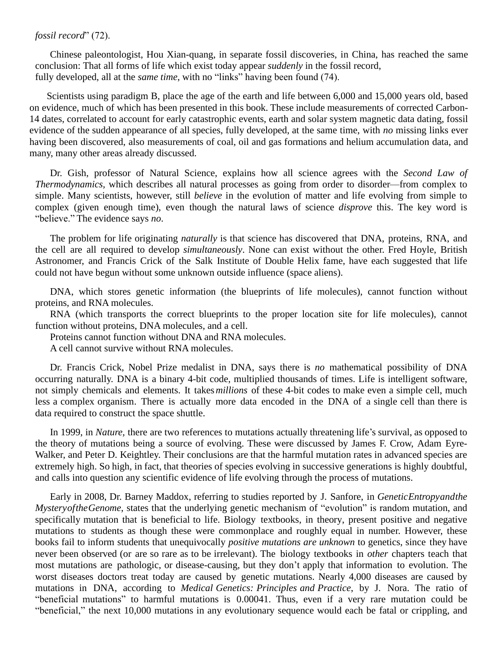## *fossil record*" (72).

Chinese paleontologist, Hou Xian-quang, in separate fossil discoveries, in China, has reached the same conclusion: That all forms of life which exist today appear *suddenly* in the fossil record, fully developed, all at the *same time*, with no "links" having been found (74).

 Scientists using paradigm B, place the age of the earth and life between 6,000 and 15,000 years old, based on evidence, much of which has been presented in this book. These include measurements of corrected Carbon-14 dates, correlated to account for early catastrophic events, earth and solar system magnetic data dating, fossil evidence of the sudden appearance of all species, fully developed, at the same time, with *no* missing links ever having been discovered, also measurements of coal, oil and gas formations and helium accumulation data, and many, many other areas already discussed.

 Dr. Gish, professor of Natural Science, explains how all science agrees with the *Second Law of Thermodynamics,* which describes all natural processes as going from order to disorder—from complex to simple. Many scientists, however, still *believe* in the evolution of matter and life evolving from simple to complex (given enough time), even though the natural laws of science *disprove* this. The key word is "believe." The evidence says *no*.

The problem for life originating *naturally* is that science has discovered that DNA, proteins, RNA, and the cell are all required to develop *simultaneously*. None can exist without the other. Fred Hoyle, British Astronomer, and Francis Crick of the Salk Institute of Double Helix fame, have each suggested that life could not have begun without some unknown outside influence (space aliens).

DNA, which stores genetic information (the blueprints of life molecules), cannot function without proteins, and RNA molecules.

RNA (which transports the correct blueprints to the proper location site for life molecules), cannot function without proteins, DNA molecules, and a cell.

Proteins cannot function without DNA and RNA molecules.

A cell cannot survive without RNA molecules.

Dr. Francis Crick, Nobel Prize medalist in DNA, says there is *no* mathematical possibility of DNA occurring naturally. DNA is a binary 4-bit code, multiplied thousands of times. Life is intelligent software, not simply chemicals and elements. It takes*millions* of these 4-bit codes to make even a simple cell, much less a complex organism. There is actually more data encoded in the DNA of a single cell than there is data required to construct the space shuttle.

In 1999, in *Nature,* there are two references to mutations actually threatening life's survival, as opposed to the theory of mutations being a source of evolving. These were discussed by James F. Crow, Adam Eyre-Walker, and Peter D. Keightley. Their conclusions are that the harmful mutation rates in advanced species are extremely high. So high, in fact, that theories of species evolving in successive generations is highly doubtful, and calls into question any scientific evidence of life evolving through the process of mutations.

Early in 2008, Dr. Barney Maddox, referring to studies reported by J. Sanfore, in *GeneticEntropyandthe MysteryoftheGenome*, states that the underlying genetic mechanism of "evolution" is random mutation, and specifically mutation that is beneficial to life. Biology textbooks, in theory, present positive and negative mutations to students as though these were commonplace and roughly equal in number. However, these books fail to inform students that unequivocally *positive mutations are unknown* to genetics, since they have never been observed (or are so rare as to be irrelevant). The biology textbooks in *other* chapters teach that most mutations are pathologic, or disease-causing, but they don't apply that information to evolution. The worst diseases doctors treat today are caused by genetic mutations. Nearly 4,000 diseases are caused by mutations in DNA, according to *Medical Genetics: Principles and Practice*, by J. Nora. The ratio of "beneficial mutations" to harmful mutations is 0.00041. Thus, even if a very rare mutation could be "beneficial," the next 10,000 mutations in any evolutionary sequence would each be fatal or crippling, and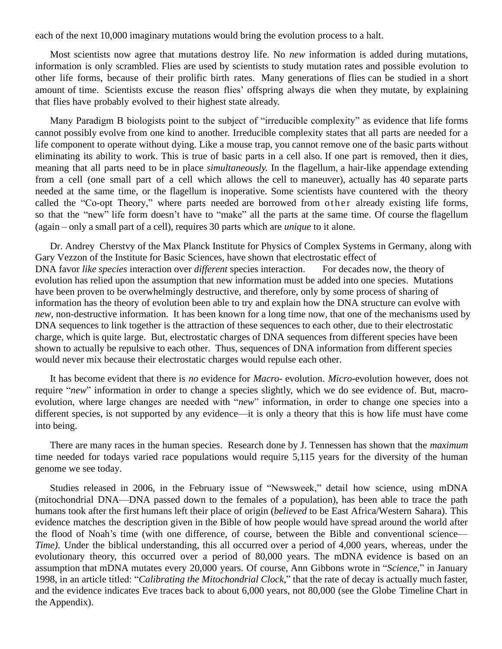each of the next 10,000 imaginary mutations would bring the evolution process to a halt.

Most scientists now agree that mutations destroy life. No *new* information is added during mutations, information is only scrambled. Flies are used by scientists to study mutation rates and possible evolution to other life forms, because of their prolific birth rates. Many generations of flies can be studied in a short amount of time. Scientists excuse the reason flies' offspring always die when they mutate, by explaining that flies have probably evolved to their highest state already.

Many Paradigm B biologists point to the subject of "irreducible complexity" as evidence that life forms cannot possibly evolve from one kind to another. Irreducible complexity states that all parts are needed for a life component to operate without dying. Like a mouse trap, you cannot remove one of the basic parts without eliminating its ability to work. This is true of basic parts in a cell also. If one part is removed, then it dies, meaning that all parts need to be in place *simultaneously*. In the flagellum, a hair-like appendage extending from a cell (one small part of a cell which allows the cell to maneuver), actually has 40 separate parts needed at the same time, or the flagellum is inoperative. Some scientists have countered with the theory called the "Co-opt Theory," where parts needed are borrowed from other already existing life forms, so that the "new" life form doesn't have to "make" all the parts at the same time. Of course the flagellum (again – only a small part of a cell), requires 30 parts which are *unique* to it alone.

 Dr. Andrey Cherstvy of the Max Planck Institute for Physics of Complex Systems in Germany, along with Gary Vezzon of the Institute for Basic Sciences, have shown that electrostatic effect of DNA favor *like species* interaction over *different* species interaction. For decades now, the theory of evolution has relied upon the assumption that new information must be added into one species. Mutations have been proven to be overwhelmingly destructive, and therefore, only by some process of sharing of information has the theory of evolution been able to try and explain how the DNA structure can evolve with *new,* non-destructive information. It has been known for a long time now, that one of the mechanisms used by DNA sequences to link together is the attraction of these sequences to each other, due to their electrostatic charge, which is quite large. But, electrostatic charges of DNA sequences from different species have been shown to actually be repulsive to each other. Thus, sequences of DNA information from different species would never mix because their electrostatic charges would repulse each other.

It has become evident that there is *no* evidence for *Macro-* evolution. *Micro***-**evolution however, does not require "*new*" information in order to change a species slightly, which we do see evidence of. But, macroevolution, where large changes are needed with "*new*" information, in order to change one species into a different species, is not supported by any evidence—it is only a theory that this is how life must have come into being.

There are many races in the human species. Research done by J. Tennessen has shown that the *maximum* time needed for todays varied race populations would require 5,115 years for the diversity of the human genome we see today.

Studies released in 2006, in the February issue of "Newsweek," detail how science, using mDNA (mitochondrial DNA—DNA passed down to the females of a population), has been able to trace the path humans took after the first humans left their place of origin (*believed* to be East Africa/Western Sahara). This evidence matches the description given in the Bible of how people would have spread around the world after the flood of Noah's time (with one difference, of course, between the Bible and conventional science— *Time*). Under the biblical understanding, this all occurred over a period of 4,000 years, whereas, under the evolutionary theory, this occurred over a period of 80,000 years. The mDNA evidence is based on an assumption that mDNA mutates every 20,000 years. Of course, Ann Gibbons wrote in "*Science,*" in January 1998, in an article titled: "*Calibrating the Mitochondrial Clock,*" that the rate of decay is actually much faster, and the evidence indicates Eve traces back to about 6,000 years, not 80,000 (see the Globe Timeline Chart in the Appendix).